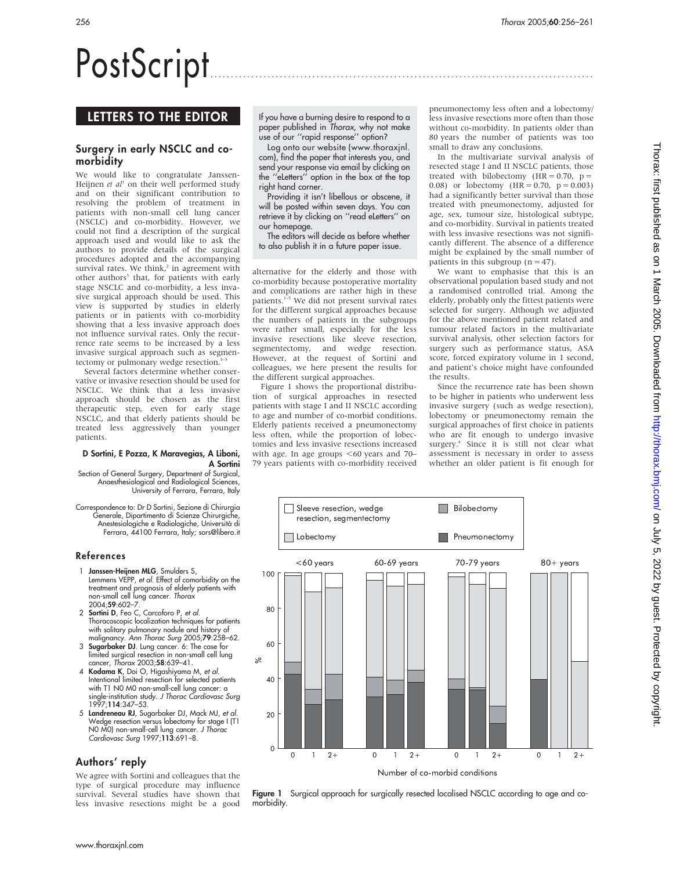# PostScript

## LETTERS TO THE EDITOR

## Surgery in early NSCLC and comorbidity

We would like to congratulate Janssen-Heijnen et  $al<sup>1</sup>$  on their well performed study and on their significant contribution to resolving the problem of treatment in patients with non-small cell lung cancer (NSCLC) and co-morbidity. However, we could not find a description of the surgical approach used and would like to ask the authors to provide details of the surgical procedures adopted and the accompanying survival rates. We think, $2$  in agreement with other authors<sup>3</sup> that, for patients with early stage NSCLC and co-morbidity, a less invasive surgical approach should be used. This view is supported by studies in elderly patients or in patients with co-morbidity showing that a less invasive approach does not influence survival rates. Only the recurrence rate seems to be increased by a less invasive surgical approach such as segmentectomy or pulmonary wedge resection.<sup>3</sup>

Several factors determine whether conservative or invasive resection should be used for NSCLC. We think that a less invasive approach should be chosen as the first therapeutic step, even for early stage NSCLC, and that elderly patients should be treated less aggressively than younger patients.

#### D Sortini, E Pozza, K Maravegias, A Liboni, A Sortini

Section of General Surgery, Department of Surgical, Anaesthesiological and Radiological Sciences, University of Ferrara, Ferrara, Italy

Correspondence to: Dr D Sortini, Sezione di Chirurgia ,<br>Generale, Dipartimento di Scienze Chirurgiche, Anestesiologiche e Radiologiche, Universita` di Ferrara, 44100 Ferrara, Italy; sors@libero.it

### References

- 1 Janssen-Heijnen MLG, Smulders S, Lemmens VEPP, et al. Effect of comorbidity on the treatment and prognosis of elderly patients with non-small cell lung cancer. Thorax
- 2004;59:602–7. 2 Sortini D, Feo C, Carcoforo P, et al. Thoracoscopic localization techniques for patients with solitary pulmonary nodule and history of malignancy. Ann Thorac Surg 2005;79:258–62.
- 3 Sugarbaker DJ. Lung cancer. 6: The case for limited surgical resection in non-small cell lung cancer, Thorax 2003;58:639–41.
- 4 Kodama K, Doi O, Higashiyama M, et al. Intentional limited resection for selected patients with T1 N0 M0 non-small-cell lung cancer: a single-institution study. J Thorac Cardiovasc Surg 1997;114:347–53.
- Landreneau RJ, Sugarbaker DJ, Mack MJ, et al. Wedge resection versus lobectomy for stage I (T1 N0 M0) non-small-cell lung cancer. J Thorac Cardiovasc Surg 1997;113:691–8.

## Authors' reply

We agree with Sortini and colleagues that the type of surgical procedure may influence survival. Several studies have shown that less invasive resections might be a good If you have a burning desire to respond to a paper published in Thorax, why not make use of our ''rapid response'' option?

Log onto our website (www.thoraxjnl. com), find the paper that interests you, and send your response via email by clicking on the ''eLetters'' option in the box at the top right hand corner.

Providing it isn't libellous or obscene, it will be posted within seven days. You can retrieve it by clicking on ''read eLetters'' on our homepage.

The editors will decide as before whether to also publish it in a future paper issue.

alternative for the elderly and those with co-morbidity because postoperative mortality and complications are rather high in these patients.<sup>1-5</sup> We did not present survival rates for the different surgical approaches because the numbers of patients in the subgroups were rather small, especially for the less invasive resections like sleeve resection, segmentectomy, and wedge resection. However, at the request of Sortini and colleagues, we here present the results for the different surgical approaches.

Figure 1 shows the proportional distribution of surgical approaches in resected patients with stage I and II NSCLC according to age and number of co-morbid conditions. Elderly patients received a pneumonectomy less often, while the proportion of lobectomies and less invasive resections increased with age. In age groups  $<$  60 years and 70– 79 years patients with co-morbidity received

> Sleeve resection, wedge resection, segmentectomy

Lobectomy

 $0 \t 1 \t 2+$ 

100

80

60

×,

40

20

 $\Omega$ 

pneumonectomy less often and a lobectomy/ less invasive resections more often than those without co-morbidity. In patients older than 80 years the number of patients was too small to draw any conclusions.

In the multivariate survival analysis of resected stage I and II NSCLC patients, those treated with bilobectomy  $(HR = 0.70, p =$ 0.08) or lobectomy  $(HR = 0.70, p = 0.003)$ had a significantly better survival than those treated with pneumonectomy, adjusted for age, sex, tumour size, histological subtype, and co-morbidity. Survival in patients treated with less invasive resections was not significantly different. The absence of a difference might be explained by the small number of patients in this subgroup  $(n = 47)$ .

We want to emphasise that this is an observational population based study and not a randomised controlled trial. Among the elderly, probably only the fittest patients were selected for surgery. Although we adjusted for the above mentioned patient related and tumour related factors in the multivariate survival analysis, other selection factors for surgery such as performance status, ASA score, forced expiratory volume in 1 second, and patient's choice might have confounded the results.

Since the recurrence rate has been shown to be higher in patients who underwent less invasive surgery (such as wedge resection), lobectomy or pneumonectomy remain the surgical approaches of first choice in patients who are fit enough to undergo invasive surgery.<sup>4</sup> Since it is still not clear what assessment is necessary in order to assess whether an older patient is fit enough for



+ 0 1 2

Number of co-morbid conditions

<60 years 60-69 years 70-79 years 80+ years

Bilobectomy

Pneumonectomy

+ 0 1 2

 $2+$ 

+ 0 1 2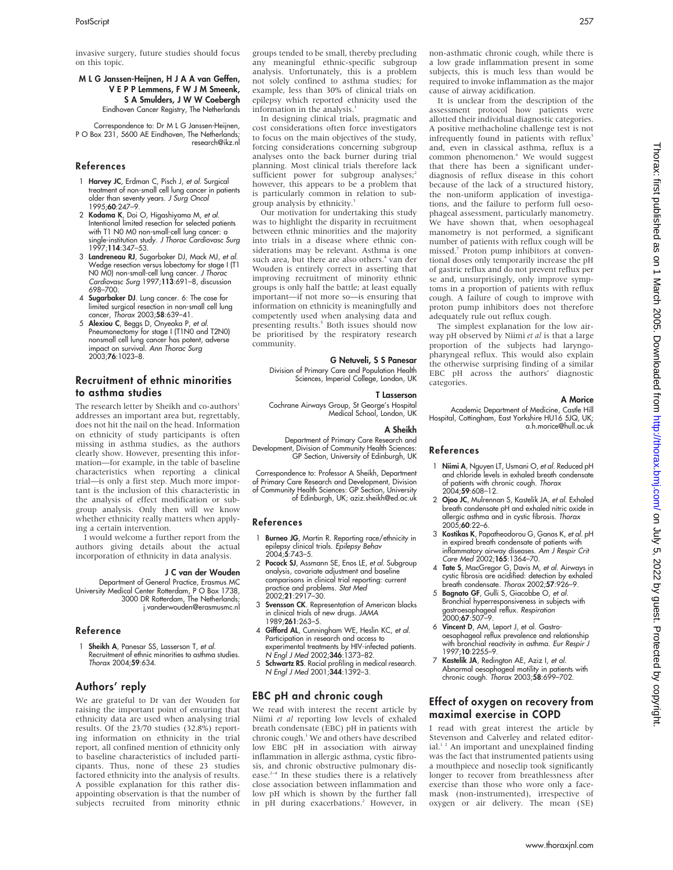invasive surgery, future studies should focus on this topic.

#### M L G Janssen-Heijnen, H J A A van Geffen, V E P P Lemmens, F W J M Smeenk, S A Smulders, J W W Coebergh Eindhoven Cancer Registry, The Netherlands

Correspondence to: Dr M L G Janssen-Heijnen, P O Box 231, 5600 AE Eindhoven, The Netherlands; research@ikz.nl

#### References

- 1 Harvey JC, Erdman C, Pisch J, et al. Surgical treatment of non-small cell lung cancer in patients older than seventy years. J Surg Oncol 1995;60:247–9.
- 2 Kodama K, Doi O, Higashiyama M, et al. Intentional limited resection for selected patients with T1 N0 M0 non-small-cell lung cancer: a single-institution study. J Thorac Cardiovasc Surg 1997;114:347–53.
- 3 Landreneau RJ, Sugarbaker DJ, Mack MJ, et al. Wedge resection versus lobectomy for stage I (T1<br>N0 M0) non-small-cell lung cancer. *J Thorac*<br>*Cardiovasc Surg* 1997;**113**:691–8, discussion 698–700.
- 4 Sugarbaker DJ. Lung cancer. 6: The case for limited surgical resection in non-small cell lung cancer, Thorax 2003;58:639–41.
- 5 Alexiou C, Beggs D, Onyeaka P, et al. Pneumonectomy for stage I (T1N0 and T2N0) nonsmall cell lung cancer has potent, adverse impact on survival. Ann Thorac Surg 2003;76:1023–8.

## Recruitment of ethnic minorities to asthma studies

The research letter by Sheikh and co-authors<sup>1</sup> addresses an important area but, regrettably, does not hit the nail on the head. Information on ethnicity of study participants is often missing in asthma studies, as the authors clearly show. However, presenting this information—for example, in the table of baseline characteristics when reporting a clinical trial—is only a first step. Much more important is the inclusion of this characteristic in the analysis of effect modification or subgroup analysis. Only then will we know whether ethnicity really matters when applying a certain intervention.

I would welcome a further report from the authors giving details about the actual incorporation of ethnicity in data analysis.

#### J C van der Wouden

Department of General Practice, Erasmus MC University Medical Center Rotterdam, P O Box 1738, 3000 DR Rotterdam, The Netherlands; j.vanderwouden@erasmusmc.nl

#### Reference

1 Sheikh A, Panesar SS, Lasserson T, et al. Recruitment of ethnic minorities to asthma studies. Thorax 2004;59:634.

## Authors' reply

We are grateful to Dr van der Wouden for raising the important point of ensuring that ethnicity data are used when analysing trial results. Of the 23/70 studies (32.8%) reporting information on ethnicity in the trial report, all confined mention of ethnicity only to baseline characteristics of included participants. Thus, none of these 23 studies factored ethnicity into the analysis of results. A possible explanation for this rather disappointing observation is that the number of subjects recruited from minority ethnic

groups tended to be small, thereby precluding any meaningful ethnic-specific subgroup analysis. Unfortunately, this is a problem not solely confined to asthma studies; for example, less than 30% of clinical trials on epilepsy which reported ethnicity used the information in the analysis.<sup>1</sup>

In designing clinical trials, pragmatic and cost considerations often force investigators to focus on the main objectives of the study, forcing considerations concerning subgroup analyses onto the back burner during trial planning. Most clinical trials therefore lack sufficient power for subgroup analyses;<sup>2</sup> however, this appears to be a problem that is particularly common in relation to subgroup analysis by ethnicity.<sup>3</sup>

Our motivation for undertaking this study was to highlight the disparity in recruitment between ethnic minorities and the majority into trials in a disease where ethnic considerations may be relevant. Asthma is one such area, but there are also others.<sup>4</sup> van der Wouden is entirely correct in asserting that improving recruitment of minority ethnic groups is only half the battle; at least equally important—if not more so—is ensuring that information on ethnicity is meaningfully and competently used when analysing data and presenting results.<sup>5</sup> Both issues should now be prioritised by the respiratory research community.

#### G Netuveli, S S Panesar

Division of Primary Care and Population Health Sciences, Imperial College, London, UK

#### T Lasserson

Cochrane Airways Group, St George's Hospital Medical School, London, UK

#### A Sheikh

Department of Primary Care Research and Development, Division of Community Health Sciences: GP Section, University of Edinburgh, UK

Correspondence to: Professor A Sheikh, Department of Primary Care Research and Development, Division of Community Health Sciences: GP Section, University of Edinburgh, UK; aziz.sheikh@ed.ac.uk

#### References

- 1 Burneo JG, Martin R. Reporting race/ethnicity in epilepsy clinical trials. Epilepsy Behav 2004;5:743–5.
- 2 Pocock SJ, Assmann SE, Enos LE, et al. Subgroup analysis, covariate adjustment and baseline comparisons in clinical trial reporting: current practice and problems. *Stat Med*<br>2002;**21**:2917–30.
- 3 Svensson CK. Representation of American blacks in clinical trials of new drugs. JAMA 1989;261:263–5.
- 4 Gifford AL, Cunningham WE, Heslin KC, et al. Participation in research and access to experimental treatments by HIV-infected patients. N Engl J Med 2002;346:1373–82.
- 5 Schwartz RS. Racial profiling in medical research. N Engl J Med 2001;344:1392–3.

## EBC pH and chronic cough

We read with interest the recent article by Niimi et al reporting low levels of exhaled breath condensate (EBC) pH in patients with chronic cough.<sup>1</sup> We and others have described low EBC pH in association with airway inflammation in allergic asthma, cystic fibrosis, and chronic obstructive pulmonary disease. $2-4$  In these studies there is a relatively close association between inflammation and low pH which is shown by the further fall in pH during exacerbations.<sup>2</sup> However, in non-asthmatic chronic cough, while there is a low grade inflammation present in some subjects, this is much less than would be required to invoke inflammation as the major cause of airway acidification.

It is unclear from the description of the assessment protocol how patients were allotted their individual diagnostic categories. A positive methacholine challenge test is not infrequently found in patients with reflux<sup>5</sup> and, even in classical asthma, reflux is a common phenomenon.<sup>6</sup> We would suggest that there has been a significant underdiagnosis of reflux disease in this cohort because of the lack of a structured history, the non-uniform application of investigations, and the failure to perform full oesophageal assessment, particularly manometry. We have shown that, when oesophageal manometry is not performed, a significant number of patients with reflux cough will be missed.7 Proton pump inhibitors at conventional doses only temporarily increase the pH of gastric reflux and do not prevent reflux per se and, unsurprisingly, only improve symptoms in a proportion of patients with reflux cough. A failure of cough to improve with proton pump inhibitors does not therefore adequately rule out reflux cough.

The simplest explanation for the low airway pH observed by Niimi et al is that a large proportion of the subjects had laryngopharyngeal reflux. This would also explain the otherwise surprising finding of a similar EBC pH across the authors' diagnostic categories.

#### A Morice

Academic Department of Medicine, Castle Hill Hospital, Cottingham, East Yorkshire HU16 5JQ, UK; a.h.morice@hull.ac.uk

#### References

- 1 Niimi A, Nguyen LT, Usmani O, et al. Reduced pH and chloride levels in exhaled breath condensate of patients with chronic cough. Thorax 2004;59:608–12.
- 2 Ojoo JC, Mulrennan S, Kastelik JA, et al. Exhaled breath condensate pH and exhaled nitric oxide in allergic asthma and in cystic fibrosis. Thorax 2005;60:22–6.
- 3 Kostikas K, Papatheodorou G, Ganas K, et al. pH in expired breath condensate of patients with inflammatory airway diseases. Am J Respir Crit Care Med 2002;165:1364–70.
- 4 Tate S, MacGregor G, Davis M, et al. Airways in cystic fibrosis are acidified: detection by exhaled
- breath condensate. Thorax 2002;57:926–9. 5 Bagnato GF, Gulli S, Giacobbe O, et al. Bronchial hyperresponsiveness in subjects with gastroesophageal reflux. *Respiration*<br>2000;**67**:507–9.
- 6 Vincent D, AM, Leport J, et al. Gastrooesophageal reflux prevalence and relationship with bronchial reactivity in asthma. Eur Respir J 1997;10:2255–9.
- 7 Kastelik JA, Redington AE, Aziz I, et al. Abnormal oesophageal motility in patients with chronic cough. Thorax 2003;58:699–702.

## Effect of oxygen on recovery from maximal exercise in COPD

I read with great interest the article by Stevenson and Calverley and related editorial.<sup>12</sup> An important and unexplained finding was the fact that instrumented patients using a mouthpiece and noseclip took significantly longer to recover from breathlessness after exercise than those who wore only a facemask (non-instrumented), irrespective of oxygen or air delivery. The mean (SE)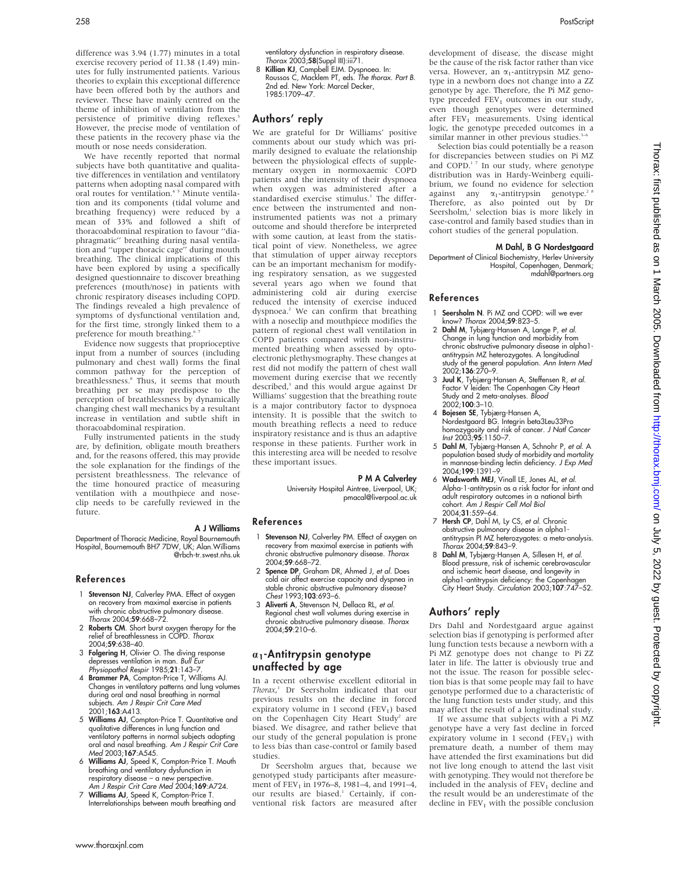difference was 3.94 (1.77) minutes in a total exercise recovery period of 11.38 (1.49) minutes for fully instrumented patients. Various theories to explain this exceptional difference have been offered both by the authors and reviewer. These have mainly centred on the theme of inhibition of ventilation from the persistence of primitive diving reflexes.<sup>3</sup> However, the precise mode of ventilation of these patients in the recovery phase via the mouth or nose needs consideration.

We have recently reported that normal subjects have both quantitative and qualitative differences in ventilation and ventilatory patterns when adopting nasal compared with oral routes for ventilation.<sup>45</sup> Minute ventilation and its components (tidal volume and breathing frequency) were reduced by a mean of 33% and followed a shift of thoracoabdominal respiration to favour ''diaphragmatic'' breathing during nasal ventilation and ''upper thoracic cage'' during mouth breathing. The clinical implications of this have been explored by using a specifically designed questionnaire to discover breathing preferences (mouth/nose) in patients with chronic respiratory diseases including COPD. The findings revealed a high prevalence of symptoms of dysfunctional ventilation and, for the first time, strongly linked them to a preference for mouth breathing.<sup>6</sup>

Evidence now suggests that proprioceptive input from a number of sources (including pulmonary and chest wall) forms the final common pathway for the perception of breathlessness.<sup>8</sup> Thus, it seems that mouth breathing per se may predispose to the perception of breathlessness by dynamically changing chest wall mechanics by a resultant increase in ventilation and subtle shift in thoracoabdominal respiration.

Fully instrumented patients in the study are, by definition, obligate mouth breathers and, for the reasons offered, this may provide the sole explanation for the findings of the persistent breathlessness. The relevance of the time honoured practice of measuring ventilation with a mouthpiece and noseclip needs to be carefully reviewed in the future.

#### A J Williams

Department of Thoracic Medicine, Royal Bournemouth Hospital, Bournemouth BH7 7DW, UK; Alan.Williams @rbch-tr.swest.nhs.uk

#### References

- 1 Stevenson NJ, Calverley PMA. Effect of oxygen on recovery from maximal exercise in patients with chronic obstructive pulmonary disease. Thorax 2004;59:668–72.
- 2 Roberts CM. Short burst oxygen therapy for the relief of breathlessness in COPD. Thorax 2004;59:638–40.
- 3 Folgering H, Olivier O. The diving response depresses ventilation in man. Bull Eur Physiopathol Respir 1985;21:143-7
- 4 Brammer PA, Compton-Price T, Williams AJ. Changes in ventilatory patterns and lung volumes during oral and nasal breathing in normal subjects. *Am J Respir Crit Care Med*<br>2001;**163**:A413.
- 5 Williams AJ, Compton-Price T. Quantitative and qualitative differences in lung function and ventilatory patterns in normal subjects adopting oral and nasal breathing. Am J Respir Crit Care Med 2003;167:A545.
- 6 Williams AJ, Speed K, Compton-Price T. Mouth breathing and ventilatory dysfunction in respiratory disease – a new perspective.<br>Am J Respir Crit Care Med 2004;**169**:A724.
- 7 Williams AJ, Speed K, Compton-Price T. Interrelationships between mouth breathing and

ventilatory dysfunction in respiratory disease. . 11.iii71.bh*rax* 2003;**58(**Suppl III):iii

8 Killian KJ, Campbell EJM. Dyspnoea. In: Roussos C, Macklem PT, eds. The thorax. Part B. 2nd ed. New York: Marcel Decker, 1985:1709–47.

## Authors' reply

We are grateful for Dr Williams' positive comments about our study which was primarily designed to evaluate the relationship between the physiological effects of supplementary oxygen in normoxaemic COPD patients and the intensity of their dyspnoea when oxygen was administered after a standardised exercise stimulus.<sup>1</sup> The difference between the instrumented and noninstrumented patients was not a primary outcome and should therefore be interpreted with some caution, at least from the statistical point of view. Nonetheless, we agree that stimulation of upper airway receptors can be an important mechanism for modifying respiratory sensation, as we suggested several years ago when we found that administering cold air during exercise reduced the intensity of exercise induced dyspnoea.2 We can confirm that breathing with a noseclip and mouthpiece modifies the pattern of regional chest wall ventilation in COPD patients compared with non-instrumented breathing when assessed by optoelectronic plethysmography. These changes at rest did not modify the pattern of chest wall movement during exercise that we recently described,<sup>3</sup> and this would argue against Dr Williams' suggestion that the breathing route is a major contributory factor to dyspnoea intensity. It is possible that the switch to mouth breathing reflects a need to reduce inspiratory resistance and is thus an adaptive response in these patients. Further work in this interesting area will be needed to resolve these important issues.

#### P M A Calverley

University Hospital Aintree, Liverpool, UK; pmacal@liverpool.ac.uk

#### References

- 1 Stevenson NJ, Calverley PM. Effect of oxygen on recovery from maximal exercise in patients with chronic obstructive pulmonary disease. Thorax 2004;59:668–72.
- 2 Spence DP, Graham DR, Ahmed J, et al. Does cold air affect exercise capacity and dyspnea in stable chronic obstructive pulmonary disease? Chest 1993;103:693–6.
- 3 Aliverti A, Stevenson N, Dellaca RL, et al. Regional chest wall volumes during exercise in chronic obstructive pulmonary disease. Thorax 2004;59:210–6.

## $\alpha_1$ -Antitrypsin genotype unaffected by age

In a recent otherwise excellent editorial in Thorax, <sup>1</sup> Dr Seersholm indicated that our previous results on the decline in forced expiratory volume in 1 second  $(FEV_1)$  based on the Copenhagen City Heart Study<sup>2</sup> are biased. We disagree, and rather believe that our study of the general population is prone to less bias than case-control or family based studies.

Dr Seersholm argues that, because we genotyped study participants after measurement of FEV<sub>1</sub> in 1976–8, 1981–4, and 1991–4, our results are biased.<sup>1</sup> Certainly, if conventional risk factors are measured after development of disease, the disease might be the cause of the risk factor rather than vice versa. However, an  $\alpha_1$ -antitrypsin MZ genotype in a newborn does not change into a ZZ genotype by age. Therefore, the Pi MZ genotype preceded  $FEV<sub>1</sub>$  outcomes in our study, even though genotypes were determined after FEV<sub>1</sub> measurements. Using identical logic, the genotype preceded outcomes in a similar manner in other previous studies.<sup>3-6</sup>

Selection bias could potentially be a reason for discrepancies between studies on Pi MZ and COPD.<sup>17</sup> In our study, where genotype distribution was in Hardy-Weinberg equilibrium, we found no evidence for selection against any  $\alpha_1$ -antitrypsin genotype.<sup>2</sup> Therefore, as also pointed out by Dr<br>Seersholm,<sup>1</sup> selection bias is more likely in case-control and family based studies than in cohort studies of the general population.

## M Dahl, B G Nordestgaard

Department of Clinical Biochemistry, Herlev University Hospital, Copenhagen, Denmark; mdahl@partners.org

#### References

- Seersholm N. Pi MZ and COPD: will we ever know? Thorax 2004;59:823–5.
- 2 Dahl M, Tybjærg-Hansen A, Lange P, et al. Change in lung function and morbidity from chronic obstructive pulmonary disease in alpha1 antitrypsin MZ heterozygotes. A longitudinal study of the general population. *Ann Intern Med*<br>2002;**136**:270–9.
- 3 Juul K, Tybjærg-Hansen A, Steffensen R, et al. Factor V leiden: The Copenhagen City Heart Study and 2 meta-analyses. Blood  $2002 \cdot 100 \cdot 3 - 10$
- 4 Bojesen SE, Tybjærg-Hansen A, Nordestgaard BG. Integrin beta3Leu33Pro homozygosity and risk of cancer. *J Natl Cancer*<br>*Inst* 2003;**95**:1150–7.
- 5 Dahl M, Tybjærg-Hansen A, Schnohr P, et al. A population based study of morbidity and mortality in mannose-binding lectin deficiency. J Exp Med 2004;199:1391–9.
- 6 Wadsworth MEJ, Vinall LE, Jones AL, et al. Alpha-1-antitrypsin as a risk factor for infant and adult respiratory outcomes in a national birth cohort. Am J Respir Cell Mol Biol 2004;31:559–64.
- 7 Hersh CP, Dahl M, Ly CS, et al. Chronic obstructive pulmonary disease in alpha1- antitrypsin PI MZ heterozygotes: a meta-analysis. Thorax 2004;59:843–9.
- 8 Dahl M, Tybjærg-Hansen A, Sillesen H, et al. Blood pressure, risk of ischemic cerebrovascular and ischemic heart disease, and longevity in alpha1-antitrypsin deficiency: the Copenhagen<br>City Heart Study. *Circulation* 2003;**107**:747–52.

## Authors' reply

Drs Dahl and Nordestgaard argue against selection bias if genotyping is performed after lung function tests because a newborn with a Pi MZ genotype does not change to Pi ZZ later in life. The latter is obviously true and not the issue. The reason for possible selection bias is that some people may fail to have genotype performed due to a characteristic of the lung function tests under study, and this may affect the result of a longitudinal study.

If we assume that subjects with a Pi MZ genotype have a very fast decline in forced expiratory volume in 1 second (FEV<sub>1</sub>) with premature death, a number of them may have attended the first examinations but did not live long enough to attend the last visit with genotyping. They would not therefore be included in the analysis of  $FEV<sub>1</sub>$  decline and the result would be an underestimate of the decline in  $FEV<sub>1</sub>$  with the possible conclusion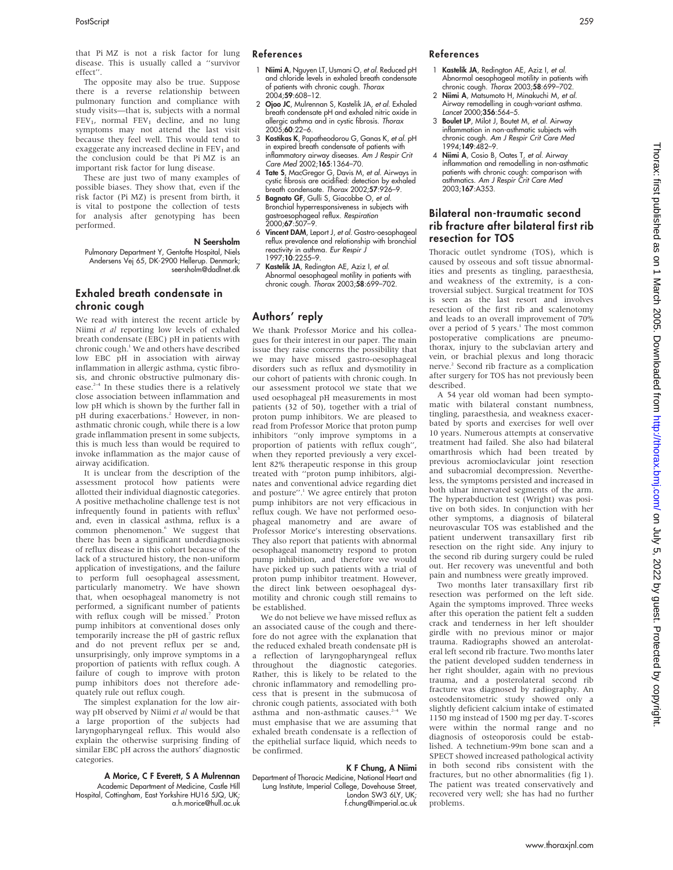that Pi MZ is not a risk factor for lung disease. This is usually called a ''survivor effect''.

The opposite may also be true. Suppose there is a reverse relationship between pulmonary function and compliance with study visits—that is, subjects with a normal  $FEV<sub>1</sub>$ , normal  $FEV<sub>1</sub>$  decline, and no lung symptoms may not attend the last visit because they feel well. This would tend to exaggerate any increased decline in FEV<sub>1</sub> and the conclusion could be that Pi MZ is an important risk factor for lung disease.

These are just two of many examples of possible biases. They show that, even if the risk factor (Pi MZ) is present from birth, it is vital to postpone the collection of tests for analysis after genotyping has been performed.

#### N Seersholm

Pulmonary Department Y, Gentofte Hospital, Niels Andersens Vej 65, DK-2900 Hellerup. Denmark; seersholm@dadlnet.dk

## Exhaled breath condensate in chronic cough

We read with interest the recent article by Niimi et al reporting low levels of exhaled breath condensate (EBC) pH in patients with chronic cough.<sup>1</sup> We and others have described low EBC pH in association with airway inflammation in allergic asthma, cystic fibrosis, and chronic obstructive pulmonary disease.2–4 In these studies there is a relatively close association between inflammation and low pH which is shown by the further fall in pH during exacerbations.<sup>2</sup> However, in nonasthmatic chronic cough, while there is a low grade inflammation present in some subjects, this is much less than would be required to invoke inflammation as the major cause of airway acidification.

It is unclear from the description of the assessment protocol how patients were allotted their individual diagnostic categories. A positive methacholine challenge test is not infrequently found in patients with reflux<sup>5</sup> and, even in classical asthma, reflux is a common phenomenon.6 We suggest that there has been a significant underdiagnosis of reflux disease in this cohort because of the lack of a structured history, the non-uniform application of investigations, and the failure to perform full oesophageal assessment, particularly manometry. We have shown that, when oesophageal manometry is not performed, a significant number of patients with reflux cough will be missed.<sup>7</sup> Proton pump inhibitors at conventional doses only temporarily increase the pH of gastric reflux and do not prevent reflux per se and, unsurprisingly, only improve symptoms in a proportion of patients with reflux cough. A failure of cough to improve with proton pump inhibitors does not therefore adequately rule out reflux cough.

The simplest explanation for the low airway pH observed by Niimi et al would be that a large proportion of the subjects had laryngopharyngeal reflux. This would also explain the otherwise surprising finding of similar EBC pH across the authors' diagnostic categories.

#### A Morice, C F Everett, S A Mulrennan

Academic Department of Medicine, Castle Hill Hospital, Cottingham, East Yorkshire HU16 5JQ, UK; a.h.morice@hull.ac.uk

## References

- 1 Niimi A, Nguyen LT, Usmani O, et al. Reduced pH and chloride levels in exhaled breath condensate of patients with chronic cough. Thorax 2004;59:608–12.
- 2 Ojoo JC, Mulrennan S, Kastelik JA, et al. Exhaled breath condensate pH and exhaled nitric oxide in allergic asthma and in cystic fibrosis. Thorax 2005;60:22–6.
- 3 Kostikas K, Papatheodorou G, Ganas K, et al. pH in expired breath condensate of patients with intlammatory airway diseases. *Am J Respir Crit*<br>*Care Med* 2002;**165**:1364–70.
- 4 Tate S, MacGregor G, Davis M, et al. Airways in cystic fibrosis are acidified: detection by exhaled<br>breath condensate. *Thorax* 2002;**57**:926–9.
- 5 Bagnato GF, Gulli S, Giacobbe O, et al. Bronchial hyperresponsiveness in subjects with gastroesophageal reflux. *Respiration*<br>2000;**67**:507–9.
- 6 Vincent DAM, Leport J, et al. Gastro-oesophageal reflux prevalence and relationship with bronchial reactivity in asthma. Eur Respir J 1997;10:2255–9.
- 7 Kastelik JA, Redington AE, Aziz I, et al. Abnormal oesophageal motility in patients with chronic cough. Thorax 2003;58:699–702.

## Authors' reply

We thank Professor Morice and his colleagues for their interest in our paper. The main issue they raise concerns the possibility that we may have missed gastro-oesophageal disorders such as reflux and dysmotility in our cohort of patients with chronic cough. In our assessment protocol we state that we used oesophageal pH measurements in most patients (32 of 50), together with a trial of proton pump inhibitors. We are pleased to read from Professor Morice that proton pump inhibitors ''only improve symptoms in a proportion of patients with reflux cough'', when they reported previously a very excellent 82% therapeutic response in this group treated with ''proton pump inhibitors, alginates and conventional advice regarding diet and posture".<sup>1</sup> We agree entirely that proton pump inhibitors are not very efficacious in reflux cough. We have not performed oesophageal manometry and are aware of Professor Morice's interesting observations. They also report that patients with abnormal oesophageal manometry respond to proton pump inhibition, and therefore we would have picked up such patients with a trial of proton pump inhibitor treatment. However, the direct link between oesophageal dysmotility and chronic cough still remains to be established.

We do not believe we have missed reflux as an associated cause of the cough and therefore do not agree with the explanation that the reduced exhaled breath condensate pH is a reflection of laryngopharyngeal reflux throughout the diagnostic categories. Rather, this is likely to be related to the chronic inflammatory and remodelling process that is present in the submucosa of chronic cough patients, associated with both asthma and non-asthmatic causes.<sup>2-4</sup> We must emphasise that we are assuming that exhaled breath condensate is a reflection of the epithelial surface liquid, which needs to be confirmed.

#### K F Chung, A Niimi

Department of Thoracic Medicine, National Heart and Lung Institute, Imperial College, Dovehouse Street, London SW3 6LY, UK; f.chung@imperial.ac.uk

#### References

- 1 Kastelik JA, Redington AE, Aziz I, et al. Abnormal oesophageal motility in patients with chronic cough. Thorax 2003;58:699–702.
- 2 Niimi A, Matsumoto H, Minakuchi M, et al. Airway remodelling in cough-variant asthma. Lancet 2000;356:564–5.
- 3 Boulet LP, Milot J, Boutet M, et al. Airway inflammation in non-asthmatic subjects with chronic cough. Am J Respir Crit Care Med 1994;149:482–9.
- 4 Niimi A, Cosio B, Oates T, et al. Airway inflammation and remodelling in non-asthmatic patients with chronic cough: comparison with asthmatics. Am J Respir Crit Care Med 2003;167:A353.

## Bilateral non-traumatic second rib fracture after bilateral first rib resection for TOS

Thoracic outlet syndrome (TOS), which is caused by osseous and soft tissue abnormalities and presents as tingling, paraesthesia, and weakness of the extremity, is a controversial subject. Surgical treatment for TOS is seen as the last resort and involves resection of the first rib and scalenotomy and leads to an overall improvement of 70% over a period of 5 years.<sup>1</sup> The most common postoperative complications are pneumothorax, injury to the subclavian artery and vein, or brachial plexus and long thoracic nerve.<sup>2</sup> Second rib fracture as a complication after surgery for TOS has not previously been described.

A 54 year old woman had been symptomatic with bilateral constant numbness, tingling, paraesthesia, and weakness exacerbated by sports and exercises for well over 10 years. Numerous attempts at conservative treatment had failed. She also had bilateral omarthrosis which had been treated by previous acromioclavicular joint resection and subacromial decompression. Nevertheless, the symptoms persisted and increased in both ulnar innervated segments of the arm. The hyperabduction test (Wright) was positive on both sides. In conjunction with her other symptoms, a diagnosis of bilateral neurovascular TOS was established and the patient underwent transaxillary first rib resection on the right side. Any injury to the second rib during surgery could be ruled out. Her recovery was uneventful and both pain and numbness were greatly improved.

Two months later transaxillary first rib resection was performed on the left side. Again the symptoms improved. Three weeks after this operation the patient felt a sudden crack and tenderness in her left shoulder girdle with no previous minor or major trauma. Radiographs showed an anterolateral left second rib fracture. Two months later the patient developed sudden tenderness in her right shoulder, again with no previous trauma, and a posterolateral second rib fracture was diagnosed by radiography. An osteodensitometric study showed only a slightly deficient calcium intake of estimated 1150 mg instead of 1500 mg per day. T-scores were within the normal range and no diagnosis of osteoporosis could be established. A technetium-99m bone scan and a SPECT showed increased pathological activity in both second ribs consistent with the fractures, but no other abnormalities (fig 1). The patient was treated conservatively and recovered very well; she has had no further problems.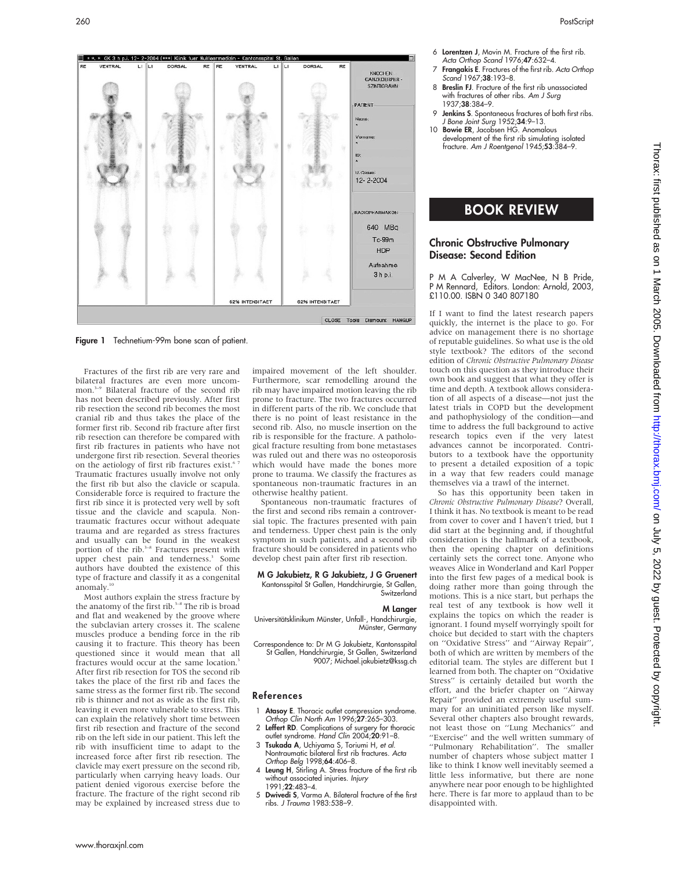

Figure 1 Technetium-99m bone scan of patient.

Fractures of the first rib are very rare and bilateral fractures are even more uncommon.<sup>3–9</sup> Bilateral fracture of the second rib has not been described previously. After first rib resection the second rib becomes the most cranial rib and thus takes the place of the former first rib. Second rib fracture after first rib resection can therefore be compared with first rib fractures in patients who have not undergone first rib resection. Several theories on the aetiology of first rib fractures exist.<sup>6</sup> Traumatic fractures usually involve not only the first rib but also the clavicle or scapula. Considerable force is required to fracture the first rib since it is protected very well by soft tissue and the clavicle and scapula. Nontraumatic fractures occur without adequate trauma and are regarded as stress fractures and usually can be found in the weakest portion of the rib.<sup>3–8</sup> Fractures present with upper chest pain and tenderness.<sup>3</sup> Some authors have doubted the existence of this type of fracture and classify it as a congenital anomaly. $<sup>1</sup>$ </sup>

Most authors explain the stress fracture by the anatomy of the first rib.<sup>3–8</sup> The rib is broad and flat and weakened by the groove where the subclavian artery crosses it. The scalene muscles produce a bending force in the rib causing it to fracture. This theory has been questioned since it would mean that all fractures would occur at the same location.<sup>3</sup> After first rib resection for TOS the second rib takes the place of the first rib and faces the same stress as the former first rib. The second rib is thinner and not as wide as the first rib, leaving it even more vulnerable to stress. This can explain the relatively short time between first rib resection and fracture of the second rib on the left side in our patient. This left the rib with insufficient time to adapt to the increased force after first rib resection. The clavicle may exert pressure on the second rib, particularly when carrying heavy loads. Our patient denied vigorous exercise before the fracture. The fracture of the right second rib may be explained by increased stress due to impaired movement of the left shoulder. Furthermore, scar remodelling around the rib may have impaired motion leaving the rib prone to fracture. The two fractures occurred in different parts of the rib. We conclude that there is no point of least resistance in the second rib. Also, no muscle insertion on the rib is responsible for the fracture. A pathological fracture resulting from bone metastases was ruled out and there was no osteoporosis which would have made the bones more prone to trauma. We classify the fractures as spontaneous non-traumatic fractures in an otherwise healthy patient.

Spontaneous non-traumatic fractures of the first and second ribs remain a controversial topic. The fractures presented with pain and tenderness. Upper chest pain is the only symptom in such patients, and a second rib fracture should be considered in patients who develop chest pain after first rib resection.

#### M G Jakubietz, R G Jakubietz, J G Gruenert Kantonsspital St Gallen, Handchirurgie, St Gallen,

Switzerland

#### M Langer

Universitätsklinikum Münster, Unfall-, Handchirurgie, Münster, Germany

Correspondence to: Dr M G Jakubietz, Kantonsspital St Gallen, Handchirurgie, St Gallen, Switzerland 9007; Michael.jakubietz@kssg.ch

#### References

- 1 Atasoy E. Thoracic outlet compression syndrome. Orthop Clin North Am 1996;27:265–303.
- 2 Leffert RD. Complications of surgery for thoracic outlet syndrome. Hand Clin 2004;20:91-8.
- 3 Tsukada A, Uchiyama S, Toriumi H, et al. Nontraumatic bilateral first rib fractures. Acta Orthop Belg 1998;64:406-8.
- 4 Leung H, Stirling A. Stress fracture of the first rib without associated injuries. Injury 1991;22:483–4.
- 5 Dwivedi S, Varma A. Bilateral fracture of the first ribs. J Trauma 1983:538–9.
- 6 Lorentzen J, Movin M. Fracture of the first rib. Acta Orthop Scand 1976;47:632–4.
- Frangakis E. Fractures of the first rib. Acta Orthop Scand 1967;38:193–8.
- 8 Breslin FJ. Fracture of the first rib unassociated with fractures of other ribs. Am J Surg 1937;38:384–9.
- 9 Jenkins S. Spontaneous fractures of both first ribs. J Bone Joint Surg 1952;34:9–13.
- 10 **Bowie ER**, Jacobsen HG. Anomalous development of the first rib simulating isolated fracture. Am J Roentgenol 1945;53:384–9.

# BOOK REVIEW

## Chronic Obstructive Pulmonary Disease: Second Edition

P M A Calverley, W MacNee, N B Pride, P M Rennard, Editors. London: Arnold, 2003, £110.00. ISBN 0 340 807180

If I want to find the latest research papers quickly, the internet is the place to go. For advice on management there is no shortage of reputable guidelines. So what use is the old style textbook? The editors of the second edition of Chronic Obstructive Pulmonary Disease touch on this question as they introduce their own book and suggest that what they offer is time and depth. A textbook allows consideration of all aspects of a disease—not just the latest trials in COPD but the development and pathophysiology of the condition—and time to address the full background to active research topics even if the very latest advances cannot be incorporated. Contributors to a textbook have the opportunity to present a detailed exposition of a topic in a way that few readers could manage themselves via a trawl of the internet.

So has this opportunity been taken in Chronic Obstructive Pulmonary Disease? Overall, I think it has. No textbook is meant to be read from cover to cover and I haven't tried, but I did start at the beginning and, if thoughtful consideration is the hallmark of a textbook, then the opening chapter on definitions certainly sets the correct tone. Anyone who weaves Alice in Wonderland and Karl Popper into the first few pages of a medical book is doing rather more than going through the motions. This is a nice start, but perhaps the real test of any textbook is how well it explains the topics on which the reader is ignorant. I found myself worryingly spoilt for choice but decided to start with the chapters on ''Oxidative Stress'' and ''Airway Repair'', both of which are written by members of the editorial team. The styles are different but I learned from both. The chapter on ''Oxidative Stress'' is certainly detailed but worth the effort, and the briefer chapter on ''Airway Repair'' provided an extremely useful summary for an uninitiated person like myself. Several other chapters also brought rewards, not least those on ''Lung Mechanics'' and ''Exercise'' and the well written summary of ''Pulmonary Rehabilitation''. The smaller number of chapters whose subject matter I like to think I know well inevitably seemed a little less informative, but there are none anywhere near poor enough to be highlighted here. There is far more to applaud than to be disappointed with.